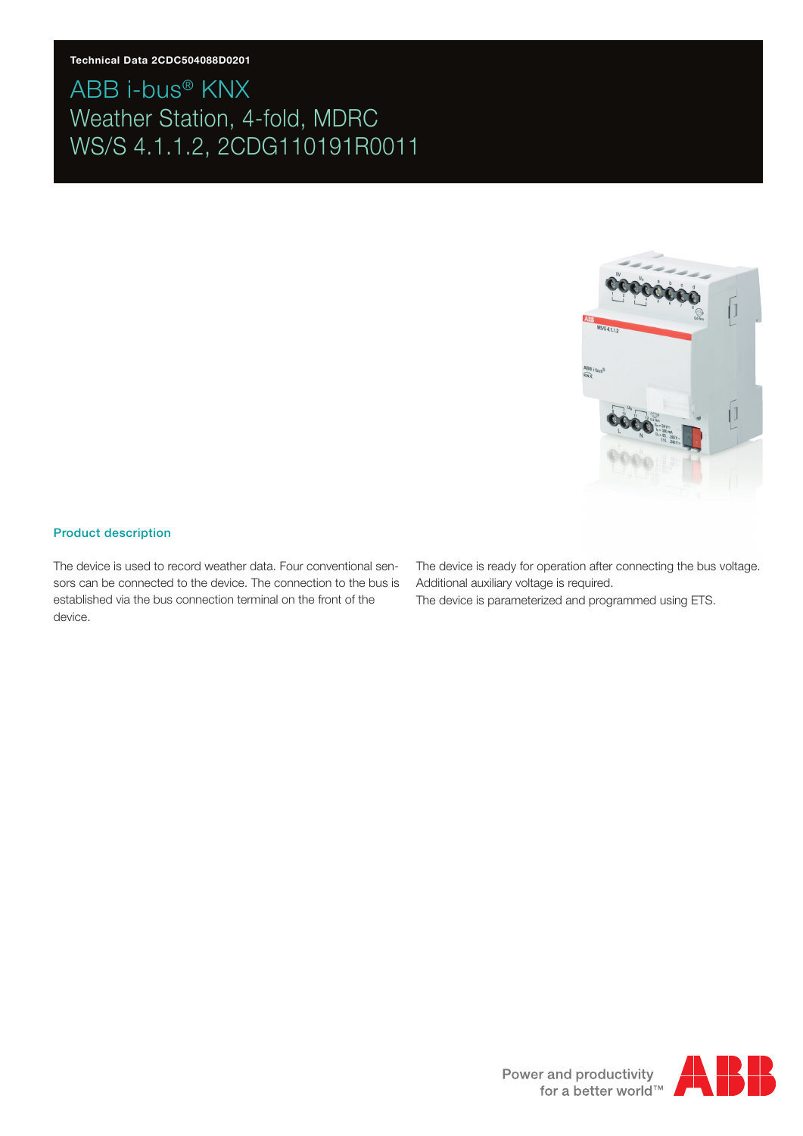#### **Technical Data 2CDC504088D0201**

# ABB i-bus® KNX Weather Station, 4-fold, MDRC WS/S 4.1.1.2, 2CDG110191R0011



#### Product description

The device is used to record weather data. Four conventional sensors can be connected to the device. The connection to the bus is established via the bus connection terminal on the front of the device.

The device is ready for operation after connecting the bus voltage. Additional auxiliary voltage is required.

The device is parameterized and programmed using ETS.

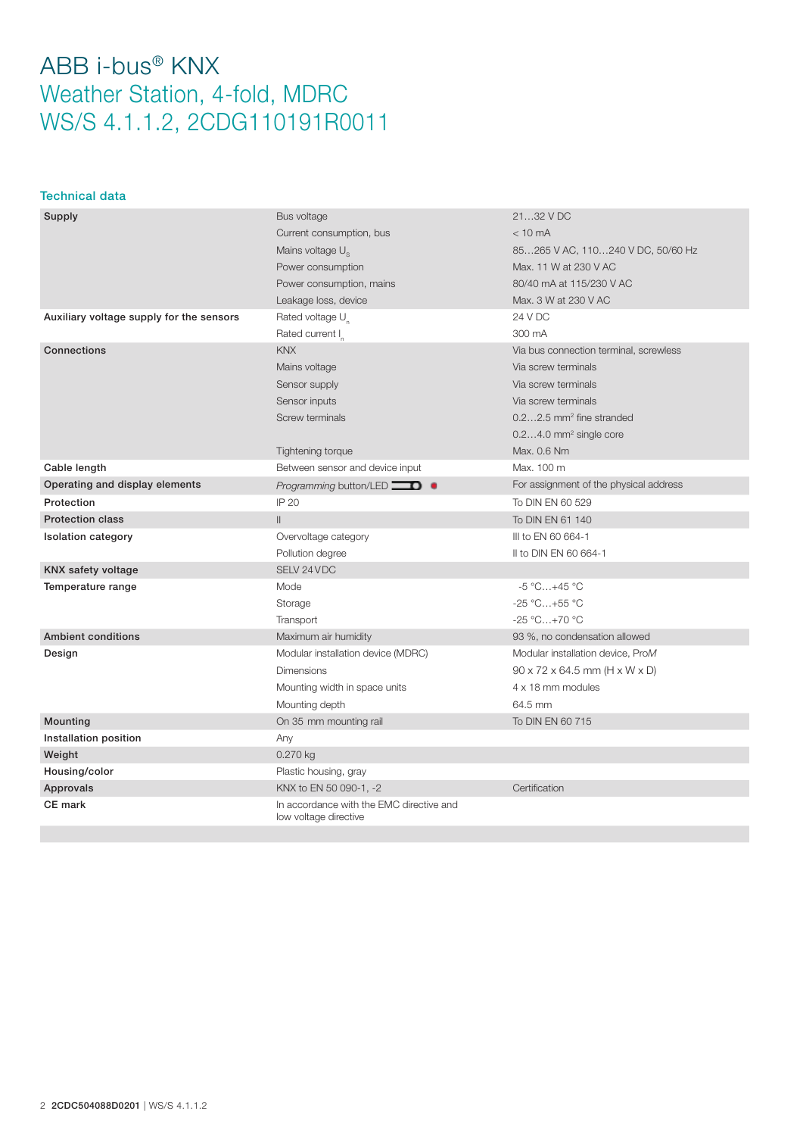#### Technical data

| Supply                                   | Bus voltage                                                       | 2132 V DC                                               |
|------------------------------------------|-------------------------------------------------------------------|---------------------------------------------------------|
|                                          | Current consumption, bus                                          | $< 10 \text{ mA}$                                       |
|                                          | Mains voltage U <sub>s</sub>                                      | 85265 V AC, 110240 V DC, 50/60 Hz                       |
|                                          | Power consumption                                                 | Max. 11 W at 230 V AC                                   |
|                                          | Power consumption, mains                                          | 80/40 mA at 115/230 V AC                                |
|                                          | Leakage loss, device                                              | Max. 3 W at 230 V AC                                    |
| Auxiliary voltage supply for the sensors | Rated voltage U                                                   | 24 V DC                                                 |
|                                          | Rated current I                                                   | 300 mA                                                  |
| <b>Connections</b>                       | <b>KNX</b>                                                        | Via bus connection terminal, screwless                  |
|                                          | Mains voltage                                                     | Via screw terminals                                     |
|                                          | Sensor supply                                                     | Via screw terminals                                     |
|                                          | Sensor inputs                                                     | Via screw terminals                                     |
|                                          | Screw terminals                                                   | $0.22.5$ mm <sup>2</sup> fine stranded                  |
|                                          |                                                                   | $0.24.0$ mm <sup>2</sup> single core                    |
|                                          | Tightening torque                                                 | Max. 0.6 Nm                                             |
| Cable length                             | Between sensor and device input                                   | Max. 100 m                                              |
| Operating and display elements           | Programming button/LED $\Box$                                     | For assignment of the physical address                  |
| Protection                               | IP 20                                                             | To DIN EN 60 529                                        |
| <b>Protection class</b>                  | $\mathbf{II}$                                                     | To DIN EN 61 140                                        |
| <b>Isolation category</b>                | Overvoltage category                                              | III to EN 60 664-1                                      |
|                                          | Pollution degree                                                  | II to DIN EN 60 664-1                                   |
| KNX safety voltage                       | SELV 24 VDC                                                       |                                                         |
| Temperature range                        | Mode                                                              | $-5 °C+45 °C$                                           |
|                                          | Storage                                                           | $-25 °C+55 °C$                                          |
|                                          | Transport                                                         | $-25 °C+70 °C$                                          |
| <b>Ambient conditions</b>                | Maximum air humidity                                              | 93 %, no condensation allowed                           |
| Design                                   | Modular installation device (MDRC)                                | Modular installation device, ProM                       |
|                                          | <b>Dimensions</b>                                                 | $90 \times 72 \times 64.5$ mm (H $\times$ W $\times$ D) |
|                                          | Mounting width in space units                                     | 4 x 18 mm modules                                       |
|                                          | Mounting depth                                                    | 64.5 mm                                                 |
| Mounting                                 | On 35 mm mounting rail                                            | To DIN EN 60 715                                        |
| Installation position                    | Any                                                               |                                                         |
| Weight                                   | 0.270 kg                                                          |                                                         |
| Housing/color                            | Plastic housing, gray                                             |                                                         |
| Approvals                                | KNX to EN 50 090-1, -2                                            | Certification                                           |
| <b>CE</b> mark                           | In accordance with the EMC directive and<br>low voltage directive |                                                         |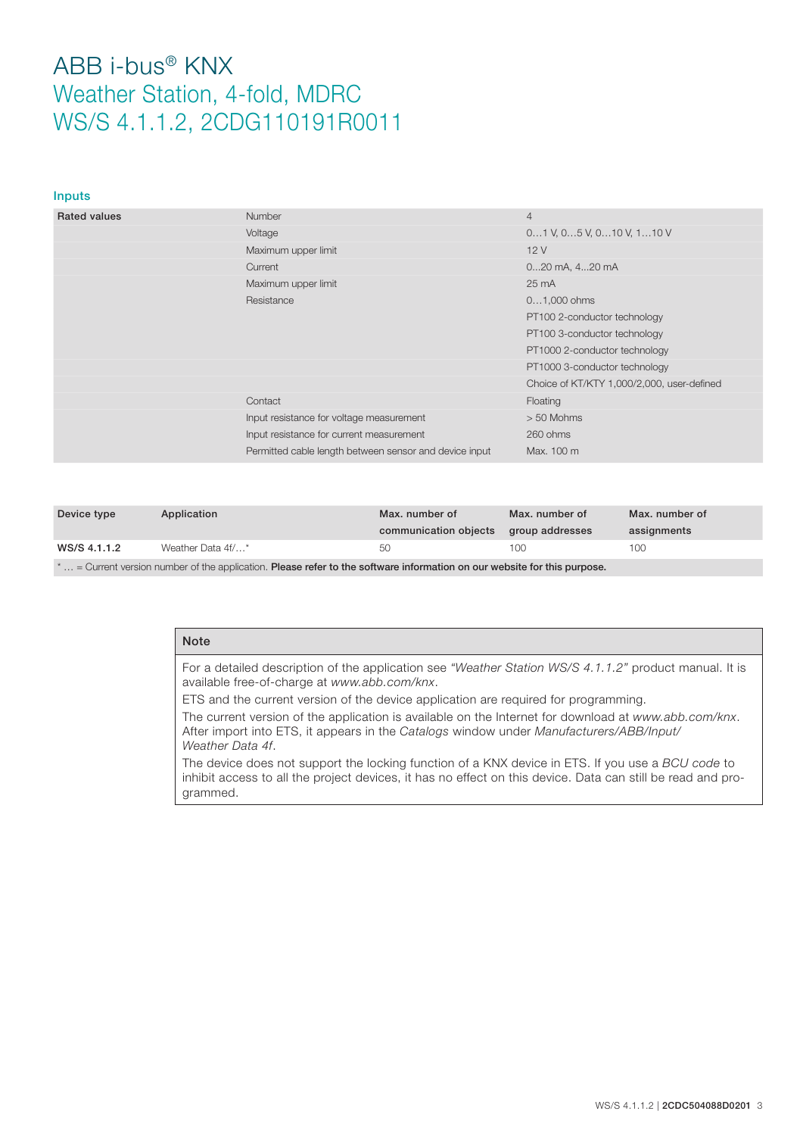#### Inputs

| <b>Rated values</b> | <b>Number</b>                                          | $\overline{4}$                             |
|---------------------|--------------------------------------------------------|--------------------------------------------|
|                     | Voltage                                                | $01$ V, $05$ V, $010$ V, $110$ V           |
|                     | Maximum upper limit                                    | 12V                                        |
|                     | Current                                                | 020 mA, 420 mA                             |
|                     | Maximum upper limit                                    | $25 \text{ mA}$                            |
|                     | Resistance                                             | $01,000$ ohms                              |
|                     |                                                        | PT100 2-conductor technology               |
|                     |                                                        | PT100 3-conductor technology               |
|                     |                                                        | PT1000 2-conductor technology              |
|                     |                                                        | PT1000 3-conductor technology              |
|                     |                                                        | Choice of KT/KTY 1,000/2,000, user-defined |
|                     | Contact                                                | Floating                                   |
|                     | Input resistance for voltage measurement               | $> 50$ Mohms                               |
|                     | Input resistance for current measurement               | 260 ohms                                   |
|                     | Permitted cable length between sensor and device input | Max. 100 m                                 |
|                     |                                                        |                                            |

| Device type                                                                                                                    | Application       | Max, number of<br>communication objects | Max. number of<br>group addresses | Max, number of<br>assignments |
|--------------------------------------------------------------------------------------------------------------------------------|-------------------|-----------------------------------------|-----------------------------------|-------------------------------|
| WS/S 4.1.1.2                                                                                                                   | Weather Data 4f/* | 50                                      | 100                               | 100                           |
| $-Curcont$ version numbers of the application. <b>Plagge refor to the softmax information on our unchoice</b> for this purpose |                   |                                         |                                   |                               |

 $*...$  = Current version number of the application. Please refer to the software information on our website for this purpose

### Note

For a detailed description of the application see *"Weather Station WS/S 4.1.1.2"* product manual. It is available free-of-charge at *www.abb.com/knx*.

ETS and the current version of the device application are required for programming.

The current version of the application is available on the Internet for download at *www.abb.com/knx*. After import into ETS, it appears in the *Catalogs* window under *Manufacturers/ABB/Input/ Weather Data 4f*.

The device does not support the locking function of a KNX device in ETS. If you use a *BCU code* to inhibit access to all the project devices, it has no effect on this device. Data can still be read and programmed.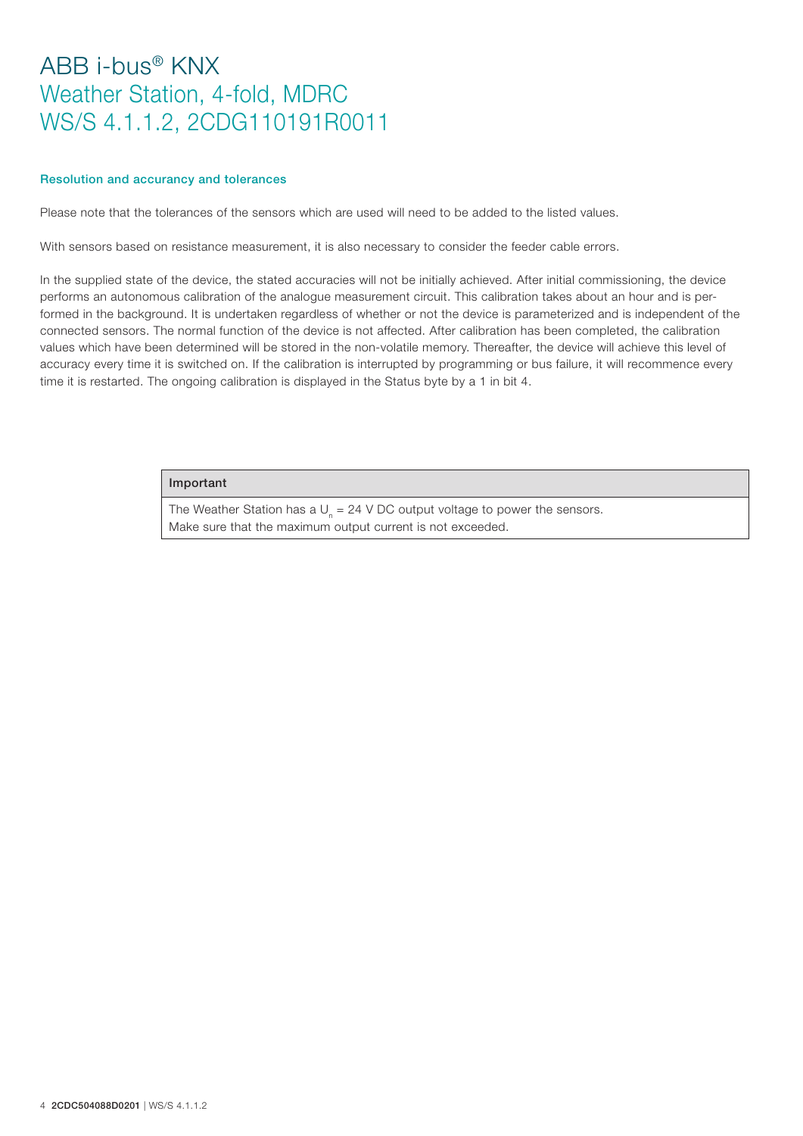#### Resolution and accurancy and tolerances

Please note that the tolerances of the sensors which are used will need to be added to the listed values.

With sensors based on resistance measurement, it is also necessary to consider the feeder cable errors.

In the supplied state of the device, the stated accuracies will not be initially achieved. After initial commissioning, the device performs an autonomous calibration of the analogue measurement circuit. This calibration takes about an hour and is performed in the background. It is undertaken regardless of whether or not the device is parameterized and is independent of the connected sensors. The normal function of the device is not affected. After calibration has been completed, the calibration values which have been determined will be stored in the non-volatile memory. Thereafter, the device will achieve this level of accuracy every time it is switched on. If the calibration is interrupted by programming or bus failure, it will recommence every time it is restarted. The ongoing calibration is displayed in the Status byte by a 1 in bit 4.

#### Important

The Weather Station has a U<sub>n</sub> = 24 V DC output voltage to power the sensors. Make sure that the maximum output current is not exceeded.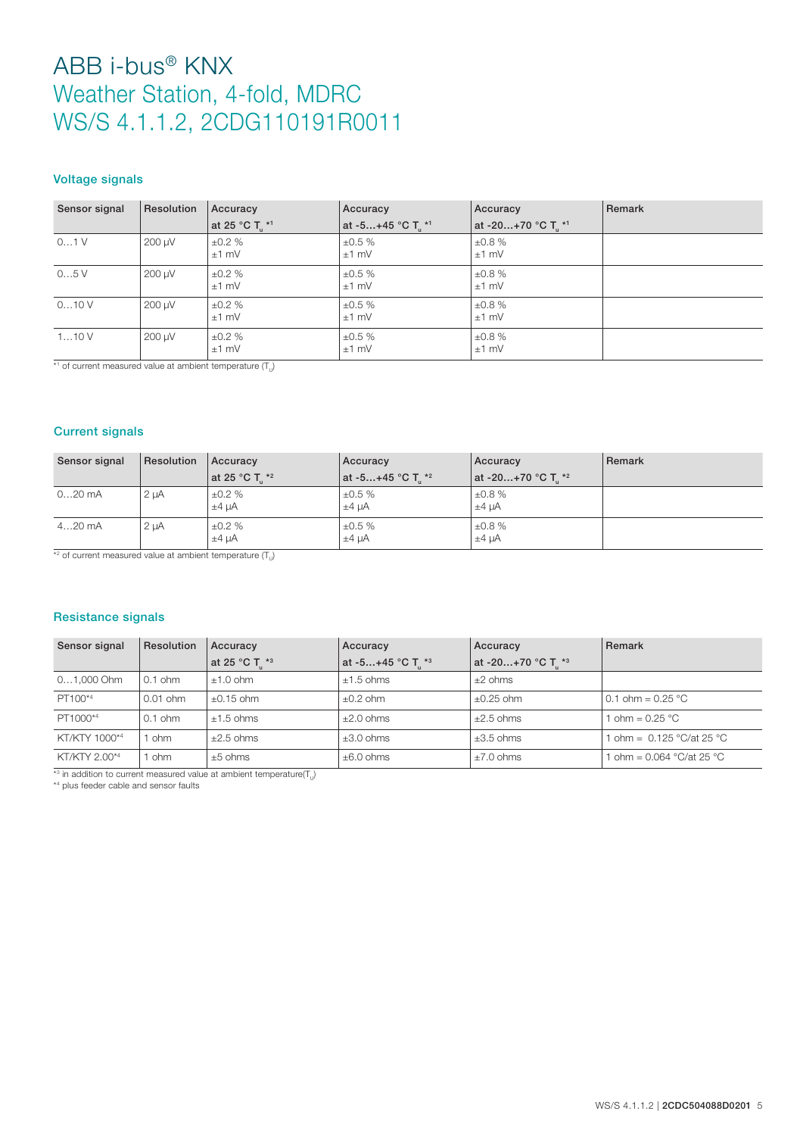### Voltage signals

| Sensor signal | Resolution | Accuracy         | Accuracy          | Accuracy          | Remark |
|---------------|------------|------------------|-------------------|-------------------|--------|
|               |            | at 25 °C T *1    | at -5+45 °C T. *1 | at -20+70 °C T *1 |        |
| 01V           | 200 µV     | ±0.2%<br>$±1$ mV | ±0.5%<br>$±1$ mV  | ±0.8%<br>$±1$ mV  |        |
| 05V           | 200 µV     | ±0.2%<br>$±1$ mV | ±0.5%<br>$±1$ mV  | ±0.8%<br>$±1$ mV  |        |
| 010V          | 200 µV     | ±0.2%<br>$±1$ mV | ±0.5%<br>$±1$ mV  | ±0.8%<br>$±1$ mV  |        |
| 110V          | 200 µV     | ±0.2%<br>$±1$ mV | ±0.5%<br>$±1$ mV  | ±0.8%<br>$±1$ mV  |        |

\*1 of current measured value at ambient temperature  $(T_{U})$ 

### Current signals

| Sensor signal | Resolution | Accuracy                     | Accuracy                        | Accuracy                       | Remark |
|---------------|------------|------------------------------|---------------------------------|--------------------------------|--------|
|               |            | at 25 °C T. $*$ <sup>2</sup> | at -5+45 °C T. * <sup>2</sup> . | at -20+70 °C T. * <sup>2</sup> |        |
| $020$ mA      | $2 \mu A$  | ±0.2%<br>$±4 \mu A$          | $\pm 0.5 \%$<br>$±4 \mu A$      | ±0.8%<br>$±4$ uA               |        |
| $420$ mA      | $2 \mu A$  | ±0.2%<br>$±4$ $\mu$ A        | ±0.5%<br>$±4 \mu A$             | ±0.8%<br>$±4 \mu A$            |        |

 $\overline{1}$   $\overline{2}$  of current measured value at ambient temperature  $(T_{U})$ 

### Resistance signals

| Sensor signal | <b>Resolution</b> | Accuracy       | Accuracy            | Accuracy                       | Remark                      |
|---------------|-------------------|----------------|---------------------|--------------------------------|-----------------------------|
|               |                   | at 25 °C T. *3 | $at -5+45 °C T.$ *3 | at -20+70 °C T. * <sup>3</sup> |                             |
| 01,000 Ohm    | $0.1$ ohm         | $+1.0$ ohm     | $±1.5$ ohms         | $+2$ ohms                      |                             |
| PT100*4       | $0.01$ ohm        | $+0.15$ ohm    | $\pm 0.2$ ohm       | $+0.25$ ohm                    | 0.1 ohm = $0.25 \text{ °C}$ |
| PT1000*4      | $0.1$ ohm         | $+1.5$ ohms    | $+2.0$ ohms         | $+2.5$ ohms                    | ohm = $0.25$ °C             |
| KT/KTY 1000*4 | 1 ohm             | $\pm 2.5$ ohms | $\pm 3.0$ ohms      | $\pm 3.5$ ohms                 | ohm = $0.125$ °C/at 25 °C   |
| KT/KTY 2.00*4 | 1 ohm             | $\pm 5$ ohms   | $\pm 6.0$ ohms      | $\pm 7.0$ ohms                 | 1 ohm = 0.064 °C/at 25 °C   |

<sup>\*3</sup> in addition to current measured value at ambient temperature( $T_{\text{U}}$ )

\*4 plus feeder cable and sensor faults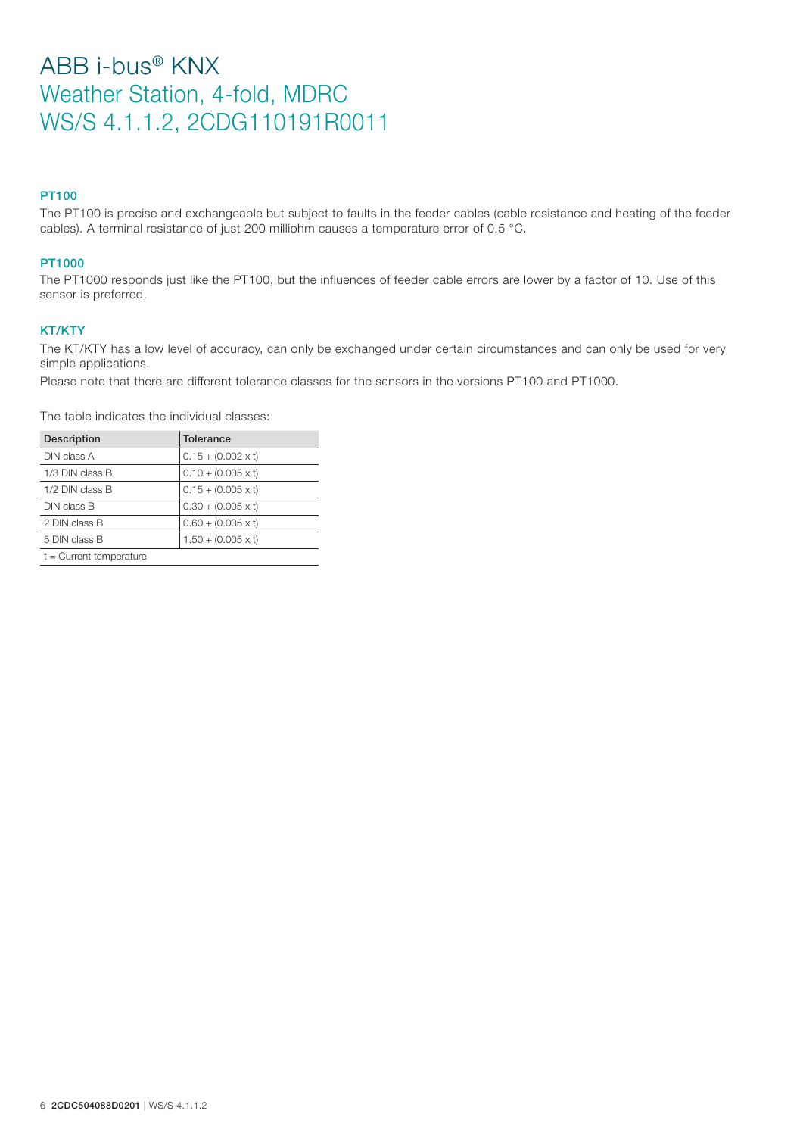### PT100

The PT100 is precise and exchangeable but subject to faults in the feeder cables (cable resistance and heating of the feeder cables). A terminal resistance of just 200 milliohm causes a temperature error of 0.5 °C.

### PT1000

The PT1000 responds just like the PT100, but the influences of feeder cable errors are lower by a factor of 10. Use of this sensor is preferred.

### KT/KTY

The KT/KTY has a low level of accuracy, can only be exchanged under certain circumstances and can only be used for very simple applications.

Please note that there are different tolerance classes for the sensors in the versions PT100 and PT1000.

The table indicates the individual classes:

| Description               | <b>Tolerance</b>          |
|---------------------------|---------------------------|
| DIN class A               | $0.15 + (0.002 \times t)$ |
| 1/3 DIN class B           | $0.10 + (0.005 \times t)$ |
| $1/2$ DIN class B         | $0.15 + (0.005 \times t)$ |
| DIN class B               | $0.30 + (0.005 \times t)$ |
| 2 DIN class B             | $0.60 + (0.005 \times t)$ |
| 5 DIN class B             | $1.50 + (0.005 \times t)$ |
| $t =$ Current temperature |                           |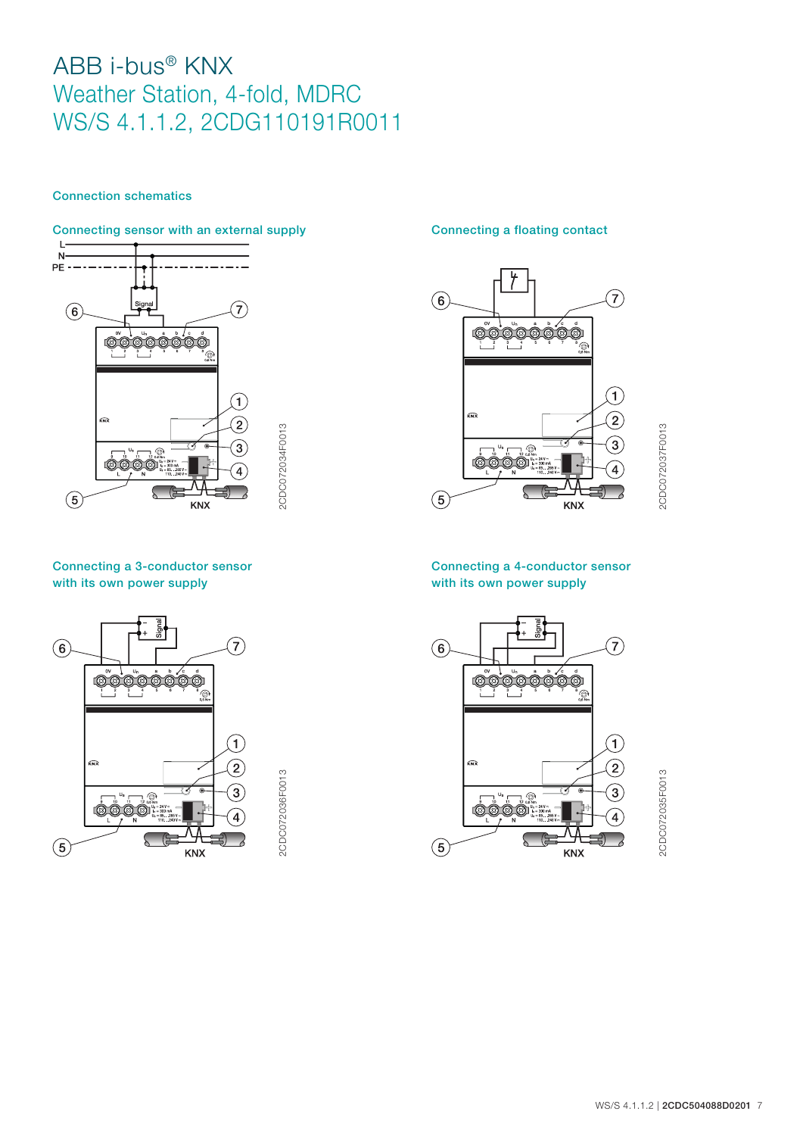### Connection schematics

## Connecting sensor with an external supply Connecting a floating contact



Connecting a 3-conductor sensor with its own power supply



2CDC072036F0013 2CDC072036F0013

2CDC072034F0013

2CDC072034F0013



2CDC072037F0013 2CDC072037F0013

## Connecting a 4-conductor sensor with its own power supply



2CDC072035F0013 2CDC072035F0013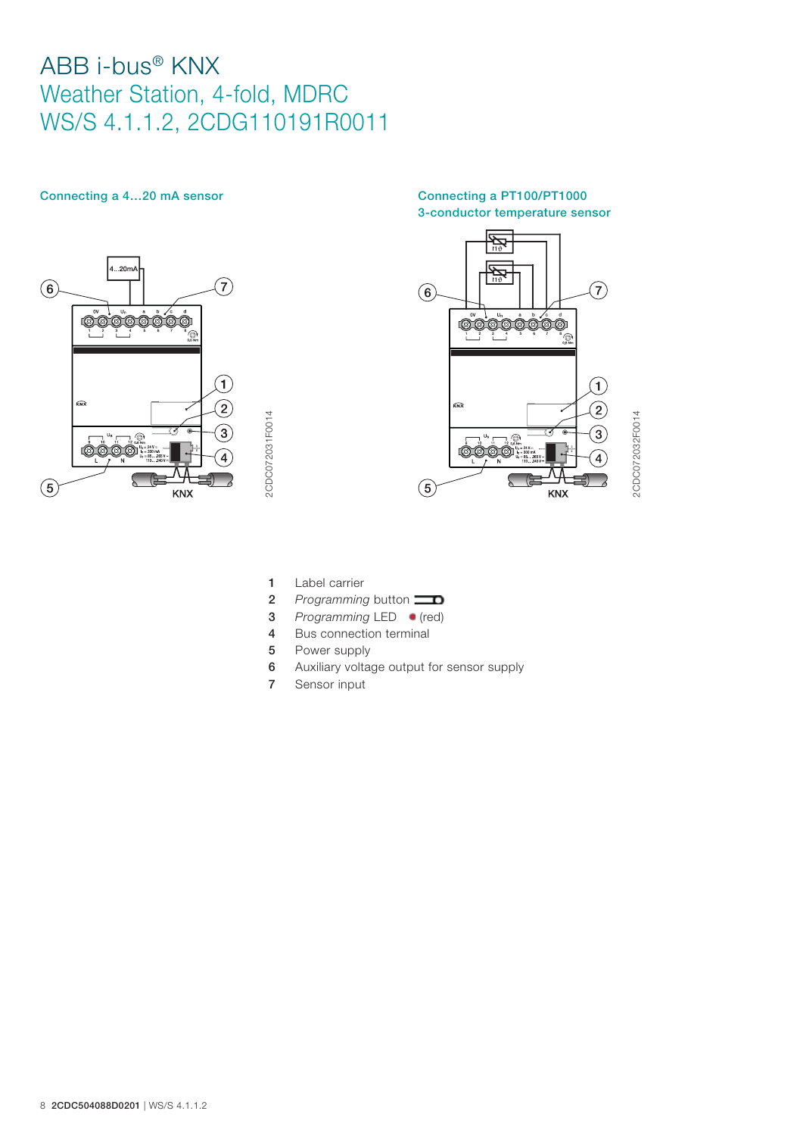

### Connecting a 4...20 mA sensor Connecting a PT100/PT1000 3-conductor temperature sensor



2CDC072032F0014 2CDC072032F0014

1 Label carrier

2CDC072031F0014

- **2** *Programming* button
- **3** *Programming* LED **(red)**
- 4 Bus connection terminal
- 5 Power supply
- 6 Auxiliary voltage output for sensor supply
- 7 Sensor input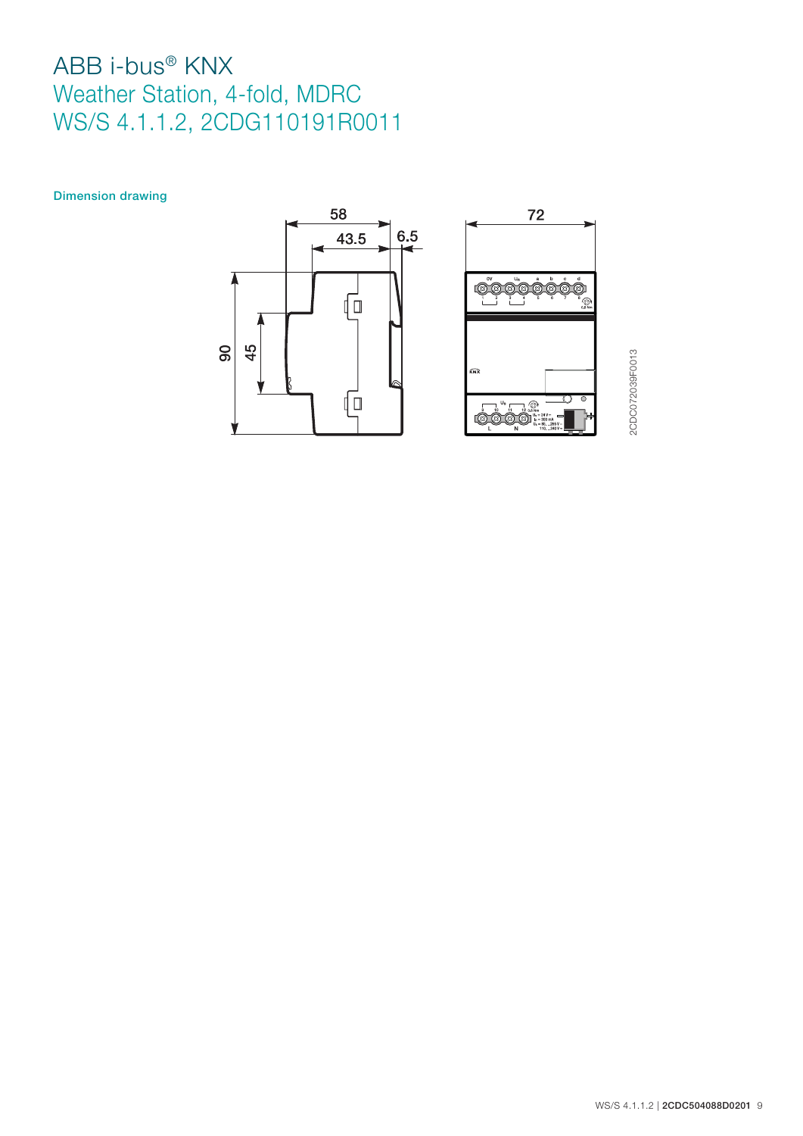Dimension drawing



2CDC072039F0013 2CDC072039F0013